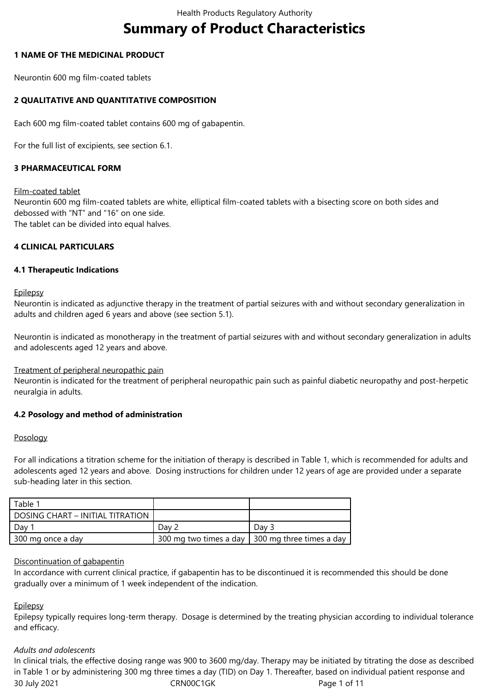# **Summary of Product Characteristics**

# **1 NAME OF THE MEDICINAL PRODUCT**

Neurontin 600 mg film-coated tablets

# **2 QUALITATIVE AND QUANTITATIVE COMPOSITION**

Each 600 mg film-coated tablet contains 600 mg of gabapentin.

For the full list of excipients, see section 6.1.

# **3 PHARMACEUTICAL FORM**

#### Film-coated tablet

Neurontin 600 mg film-coated tablets are white, elliptical film-coated tablets with a bisecting score on both sides and debossed with "NT" and "16" on one side. The tablet can be divided into equal halves.

#### **4 CLINICAL PARTICULARS**

#### **4.1 Therapeutic Indications**

**Epilepsy** 

Neurontin is indicated as adjunctive therapy in the treatment of partial seizures with and without secondary generalization in adults and children aged 6 years and above (see section 5.1).

Neurontin is indicated as monotherapy in the treatment of partial seizures with and without secondary generalization in adults and adolescents aged 12 years and above.

#### Treatment of peripheral neuropathic pain

Neurontin is indicated for the treatment of peripheral neuropathic pain such as painful diabetic neuropathy and post-herpetic neuralgia in adults.

#### **4.2 Posology and method of administration**

#### Posology

For all indications a titration scheme for the initiation of therapy is described in Table 1, which is recommended for adults and adolescents aged 12 years and above. Dosing instructions for children under 12 years of age are provided under a separate sub-heading later in this section.

| Table 1                          |       |                                                   |
|----------------------------------|-------|---------------------------------------------------|
| DOSING CHART - INITIAL TITRATION |       |                                                   |
| Day                              | Dav 2 | Dav 3                                             |
| 300 mg once a day                |       | 300 mg two times a day 1 300 mg three times a day |

#### Discontinuation of gabapentin

In accordance with current clinical practice, if gabapentin has to be discontinued it is recommended this should be done gradually over a minimum of 1 week independent of the indication.

#### **Epilepsy**

Epilepsy typically requires long-term therapy. Dosage is determined by the treating physician according to individual tolerance and efficacy.

#### *Adults and adolescents*

30 July 2021 CRN00C1GK Page 1 of 11 In clinical trials, the effective dosing range was 900 to 3600 mg/day. Therapy may be initiated by titrating the dose as described in Table 1 or by administering 300 mg three times a day (TID) on Day 1. Thereafter, based on individual patient response and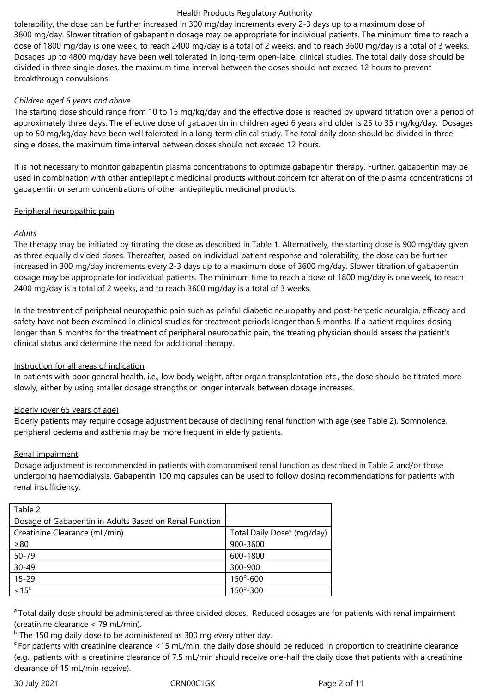tolerability, the dose can be further increased in 300 mg/day increments every 2-3 days up to a maximum dose of 3600 mg/day. Slower titration of gabapentin dosage may be appropriate for individual patients. The minimum time to reach a dose of 1800 mg/day is one week, to reach 2400 mg/day is a total of 2 weeks, and to reach 3600 mg/day is a total of 3 weeks. Dosages up to 4800 mg/day have been well tolerated in long-term open-label clinical studies. The total daily dose should be divided in three single doses, the maximum time interval between the doses should not exceed 12 hours to prevent breakthrough convulsions.

# *Children aged 6 years and above*

The starting dose should range from 10 to 15 mg/kg/day and the effective dose is reached by upward titration over a period of approximately three days. The effective dose of gabapentin in children aged 6 years and older is 25 to 35 mg/kg/day. Dosages up to 50 mg/kg/day have been well tolerated in a long-term clinical study. The total daily dose should be divided in three single doses, the maximum time interval between doses should not exceed 12 hours.

It is not necessary to monitor gabapentin plasma concentrations to optimize gabapentin therapy. Further, gabapentin may be used in combination with other antiepileptic medicinal products without concern for alteration of the plasma concentrations of gabapentin or serum concentrations of other antiepileptic medicinal products.

# Peripheral neuropathic pain

# *Adults*

The therapy may be initiated by titrating the dose as described in Table 1. Alternatively, the starting dose is 900 mg/day given as three equally divided doses. Thereafter, based on individual patient response and tolerability, the dose can be further increased in 300 mg/day increments every 2-3 days up to a maximum dose of 3600 mg/day. Slower titration of gabapentin dosage may be appropriate for individual patients. The minimum time to reach a dose of 1800 mg/day is one week, to reach 2400 mg/day is a total of 2 weeks, and to reach 3600 mg/day is a total of 3 weeks.

In the treatment of peripheral neuropathic pain such as painful diabetic neuropathy and post-herpetic neuralgia, efficacy and safety have not been examined in clinical studies for treatment periods longer than 5 months. If a patient requires dosing longer than 5 months for the treatment of peripheral neuropathic pain, the treating physician should assess the patient's clinical status and determine the need for additional therapy.

# Instruction for all areas of indication

In patients with poor general health, i.e., low body weight, after organ transplantation etc., the dose should be titrated more slowly, either by using smaller dosage strengths or longer intervals between dosage increases.

# Elderly (over 65 years of age)

Elderly patients may require dosage adjustment because of declining renal function with age (see Table 2). Somnolence, peripheral oedema and asthenia may be more frequent in elderly patients.

### Renal impairment

Dosage adjustment is recommended in patients with compromised renal function as described in Table 2 and/or those undergoing haemodialysis. Gabapentin 100 mg capsules can be used to follow dosing recommendations for patients with renal insufficiency.

| Table 2                                                |                                        |
|--------------------------------------------------------|----------------------------------------|
| Dosage of Gabapentin in Adults Based on Renal Function |                                        |
| Creatinine Clearance (mL/min)                          | Total Daily Dose <sup>a</sup> (mg/day) |
| $\geq 80$                                              | 900-3600                               |
| 50-79                                                  | 600-1800                               |
| $30 - 49$                                              | 300-900                                |
| $15 - 29$                                              | $150^b - 600$                          |
| < 15 <sup>c</sup>                                      | $150^b - 300$                          |

<sup>a</sup> Total daily dose should be administered as three divided doses. Reduced dosages are for patients with renal impairment (creatinine clearance < 79 mL/min).

<sup>b</sup> The 150 mg daily dose to be administered as 300 mg every other day.

 $\epsilon$ For patients with creatinine clearance <15 mL/min, the daily dose should be reduced in proportion to creatinine clearance (e.g., patients with a creatinine clearance of 7.5 mL/min should receive one-half the daily dose that patients with a creatinine clearance of 15 mL/min receive).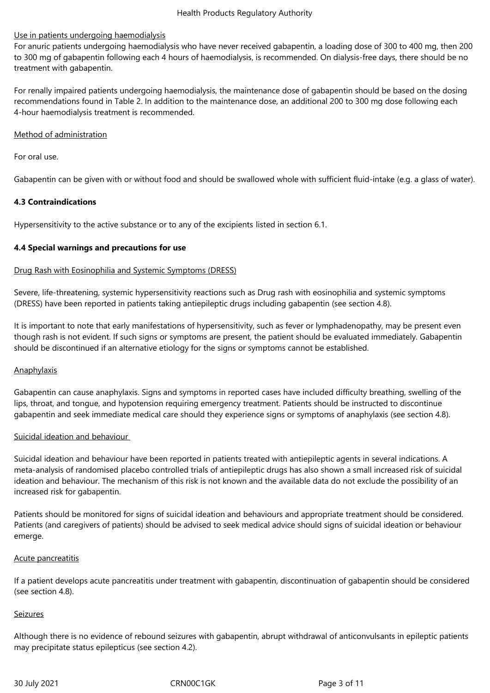# Use in patients undergoing haemodialysis

For anuric patients undergoing haemodialysis who have never received gabapentin, a loading dose of 300 to 400 mg, then 200 to 300 mg of gabapentin following each 4 hours of haemodialysis, is recommended. On dialysis-free days, there should be no treatment with gabapentin.

For renally impaired patients undergoing haemodialysis, the maintenance dose of gabapentin should be based on the dosing recommendations found in Table 2. In addition to the maintenance dose, an additional 200 to 300 mg dose following each 4-hour haemodialysis treatment is recommended.

### Method of administration

For oral use.

Gabapentin can be given with or without food and should be swallowed whole with sufficient fluid-intake (e.g. a glass of water).

# **4.3 Contraindications**

Hypersensitivity to the active substance or to any of the excipients listed in section 6.1.

# **4.4 Special warnings and precautions for use**

# Drug Rash with Eosinophilia and Systemic Symptoms (DRESS)

Severe, life-threatening, systemic hypersensitivity reactions such as Drug rash with eosinophilia and systemic symptoms (DRESS) have been reported in patients taking antiepileptic drugs including gabapentin (see section 4.8).

It is important to note that early manifestations of hypersensitivity, such as fever or lymphadenopathy, may be present even though rash is not evident. If such signs or symptoms are present, the patient should be evaluated immediately. Gabapentin should be discontinued if an alternative etiology for the signs or symptoms cannot be established.

#### Anaphylaxis

Gabapentin can cause anaphylaxis. Signs and symptoms in reported cases have included difficulty breathing, swelling of the lips, throat, and tongue, and hypotension requiring emergency treatment. Patients should be instructed to discontinue gabapentin and seek immediate medical care should they experience signs or symptoms of anaphylaxis (see section 4.8).

#### Suicidal ideation and behaviour

Suicidal ideation and behaviour have been reported in patients treated with antiepileptic agents in several indications. A meta-analysis of randomised placebo controlled trials of antiepileptic drugs has also shown a small increased risk of suicidal ideation and behaviour. The mechanism of this risk is not known and the available data do not exclude the possibility of an increased risk for gabapentin.

Patients should be monitored for signs of suicidal ideation and behaviours and appropriate treatment should be considered. Patients (and caregivers of patients) should be advised to seek medical advice should signs of suicidal ideation or behaviour emerge.

#### Acute pancreatitis

If a patient develops acute pancreatitis under treatment with gabapentin, discontinuation of gabapentin should be considered (see section 4.8).

#### Seizures

Although there is no evidence of rebound seizures with gabapentin, abrupt withdrawal of anticonvulsants in epileptic patients may precipitate status epilepticus (see section 4.2).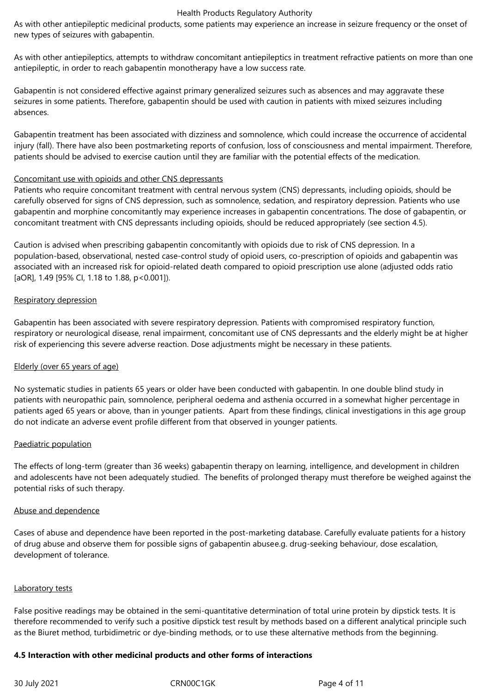As with other antiepileptic medicinal products, some patients may experience an increase in seizure frequency or the onset of new types of seizures with gabapentin.

As with other antiepileptics, attempts to withdraw concomitant antiepileptics in treatment refractive patients on more than one antiepileptic, in order to reach gabapentin monotherapy have a low success rate.

Gabapentin is not considered effective against primary generalized seizures such as absences and may aggravate these seizures in some patients. Therefore, gabapentin should be used with caution in patients with mixed seizures including absences.

Gabapentin treatment has been associated with dizziness and somnolence, which could increase the occurrence of accidental injury (fall). There have also been postmarketing reports of confusion, loss of consciousness and mental impairment. Therefore, patients should be advised to exercise caution until they are familiar with the potential effects of the medication.

#### Concomitant use with opioids and other CNS depressants

Patients who require concomitant treatment with central nervous system (CNS) depressants, including opioids, should be carefully observed for signs of CNS depression, such as somnolence, sedation, and respiratory depression. Patients who use gabapentin and morphine concomitantly may experience increases in gabapentin concentrations. The dose of gabapentin, or concomitant treatment with CNS depressants including opioids, should be reduced appropriately (see section 4.5).

Caution is advised when prescribing gabapentin concomitantly with opioids due to risk of CNS depression. In a population-based, observational, nested case-control study of opioid users, co‑prescription of opioids and gabapentin was associated with an increased risk for opioid-related death compared to opioid prescription use alone (adjusted odds ratio [aOR], 1.49 [95% Cl, 1.18 to 1.88, p<0.001]).

#### Respiratory depression

Gabapentin has been associated with severe respiratory depression. Patients with compromised respiratory function, respiratory or neurological disease, renal impairment, concomitant use of CNS depressants and the elderly might be at higher risk of experiencing this severe adverse reaction. Dose adjustments might be necessary in these patients.

#### Elderly (over 65 years of age)

No systematic studies in patients 65 years or older have been conducted with gabapentin. In one double blind study in patients with neuropathic pain, somnolence, peripheral oedema and asthenia occurred in a somewhat higher percentage in patients aged 65 years or above, than in younger patients. Apart from these findings, clinical investigations in this age group do not indicate an adverse event profile different from that observed in younger patients.

#### Paediatric population

The effects of long-term (greater than 36 weeks) gabapentin therapy on learning, intelligence, and development in children and adolescents have not been adequately studied. The benefits of prolonged therapy must therefore be weighed against the potential risks of such therapy.

#### Abuse and dependence

Cases of abuse and dependence have been reported in the post-marketing database. Carefully evaluate patients for a history of drug abuse and observe them for possible signs of gabapentin abusee.g. drug-seeking behaviour, dose escalation, development of tolerance.

#### Laboratory tests

False positive readings may be obtained in the semi-quantitative determination of total urine protein by dipstick tests. It is therefore recommended to verify such a positive dipstick test result by methods based on a different analytical principle such as the Biuret method, turbidimetric or dye-binding methods, or to use these alternative methods from the beginning.

#### **4.5 Interaction with other medicinal products and other forms of interactions**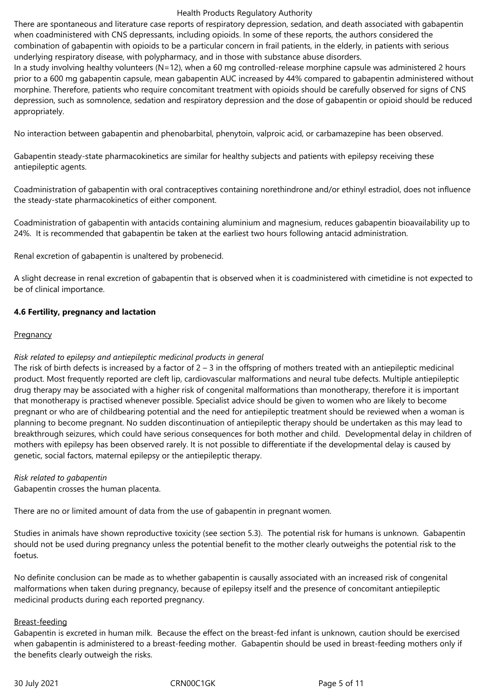There are spontaneous and literature case reports of respiratory depression, sedation, and death associated with gabapentin when coadministered with CNS depressants, including opioids. In some of these reports, the authors considered the combination of gabapentin with opioids to be a particular concern in frail patients, in the elderly, in patients with serious underlying respiratory disease, with polypharmacy, and in those with substance abuse disorders.

In a study involving healthy volunteers (N=12), when a 60 mg controlled-release morphine capsule was administered 2 hours prior to a 600 mg gabapentin capsule, mean gabapentin AUC increased by 44% compared to gabapentin administered without morphine. Therefore, patients who require concomitant treatment with opioids should be carefully observed for signs of CNS depression, such as somnolence, sedation and respiratory depression and the dose of gabapentin or opioid should be reduced appropriately.

No interaction between gabapentin and phenobarbital, phenytoin, valproic acid, or carbamazepine has been observed.

Gabapentin steady-state pharmacokinetics are similar for healthy subjects and patients with epilepsy receiving these antiepileptic agents.

Coadministration of gabapentin with oral contraceptives containing norethindrone and/or ethinyl estradiol, does not influence the steady-state pharmacokinetics of either component.

Coadministration of gabapentin with antacids containing aluminium and magnesium, reduces gabapentin bioavailability up to 24%. It is recommended that gabapentin be taken at the earliest two hours following antacid administration.

Renal excretion of gabapentin is unaltered by probenecid.

A slight decrease in renal excretion of gabapentin that is observed when it is coadministered with cimetidine is not expected to be of clinical importance.

# **4.6 Fertility, pregnancy and lactation**

#### **Pregnancy**

#### *Risk related to epilepsy and antiepileptic medicinal products in general*

The risk of birth defects is increased by a factor of  $2 - 3$  in the offspring of mothers treated with an antiepileptic medicinal product. Most frequently reported are cleft lip, cardiovascular malformations and neural tube defects. Multiple antiepileptic drug therapy may be associated with a higher risk of congenital malformations than monotherapy, therefore it is important that monotherapy is practised whenever possible. Specialist advice should be given to women who are likely to become pregnant or who are of childbearing potential and the need for antiepileptic treatment should be reviewed when a woman is planning to become pregnant. No sudden discontinuation of antiepileptic therapy should be undertaken as this may lead to breakthrough seizures, which could have serious consequences for both mother and child. Developmental delay in children of mothers with epilepsy has been observed rarely. It is not possible to differentiate if the developmental delay is caused by genetic, social factors, maternal epilepsy or the antiepileptic therapy.

#### *Risk related to gabapentin*

Gabapentin crosses the human placenta.

There are no or limited amount of data from the use of gabapentin in pregnant women.

Studies in animals have shown reproductive toxicity (see section 5.3). The potential risk for humans is unknown. Gabapentin should not be used during pregnancy unless the potential benefit to the mother clearly outweighs the potential risk to the foetus.

No definite conclusion can be made as to whether gabapentin is causally associated with an increased risk of congenital malformations when taken during pregnancy, because of epilepsy itself and the presence of concomitant antiepileptic medicinal products during each reported pregnancy.

#### Breast-feeding

Gabapentin is excreted in human milk. Because the effect on the breast-fed infant is unknown, caution should be exercised when gabapentin is administered to a breast-feeding mother. Gabapentin should be used in breast-feeding mothers only if the benefits clearly outweigh the risks.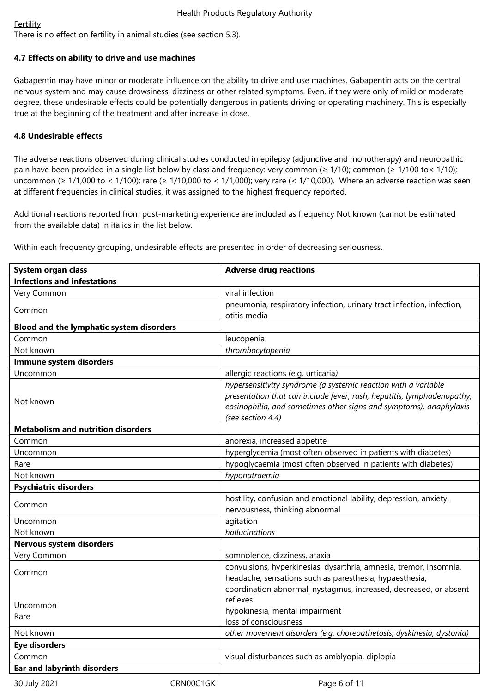# **Fertility**

There is no effect on fertility in animal studies (see section 5.3).

# **4.7 Effects on ability to drive and use machines**

Gabapentin may have minor or moderate influence on the ability to drive and use machines. Gabapentin acts on the central nervous system and may cause drowsiness, dizziness or other related symptoms. Even, if they were only of mild or moderate degree, these undesirable effects could be potentially dangerous in patients driving or operating machinery. This is especially true at the beginning of the treatment and after increase in dose.

# **4.8 Undesirable effects**

The adverse reactions observed during clinical studies conducted in epilepsy (adjunctive and monotherapy) and neuropathic pain have been provided in a single list below by class and frequency: very common (≥ 1/10); common (≥ 1/100 to < 1/10); uncommon (≥ 1/1,000 to < 1/100); rare (≥ 1/10,000 to < 1/1,000); very rare (< 1/10,000). Where an adverse reaction was seen at different frequencies in clinical studies, it was assigned to the highest frequency reported.

Additional reactions reported from post-marketing experience are included as frequency Not known (cannot be estimated from the available data) in italics in the list below.

Within each frequency grouping, undesirable effects are presented in order of decreasing seriousness.

| System organ class                        | <b>Adverse drug reactions</b>                                          |
|-------------------------------------------|------------------------------------------------------------------------|
| <b>Infections and infestations</b>        |                                                                        |
| Very Common                               | viral infection                                                        |
| Common                                    | pneumonia, respiratory infection, urinary tract infection, infection,  |
|                                           | otitis media                                                           |
| Blood and the lymphatic system disorders  |                                                                        |
| Common                                    | leucopenia                                                             |
| Not known                                 | thrombocytopenia                                                       |
| Immune system disorders                   |                                                                        |
| Uncommon                                  | allergic reactions (e.g. urticaria)                                    |
|                                           | hypersensitivity syndrome (a systemic reaction with a variable         |
| Not known                                 | presentation that can include fever, rash, hepatitis, lymphadenopathy, |
|                                           | eosinophilia, and sometimes other signs and symptoms), anaphylaxis     |
|                                           | (see section 4.4)                                                      |
| <b>Metabolism and nutrition disorders</b> |                                                                        |
| Common                                    | anorexia, increased appetite                                           |
| Uncommon                                  | hyperglycemia (most often observed in patients with diabetes)          |
| Rare                                      | hypoglycaemia (most often observed in patients with diabetes)          |
| Not known                                 | hyponatraemia                                                          |
| <b>Psychiatric disorders</b>              |                                                                        |
| Common                                    | hostility, confusion and emotional lability, depression, anxiety,      |
|                                           | nervousness, thinking abnormal                                         |
| Uncommon                                  | agitation                                                              |
| Not known                                 | hallucinations                                                         |
| <b>Nervous system disorders</b>           |                                                                        |
| Very Common                               | somnolence, dizziness, ataxia                                          |
|                                           | convulsions, hyperkinesias, dysarthria, amnesia, tremor, insomnia,     |
| Common                                    | headache, sensations such as paresthesia, hypaesthesia,                |
|                                           | coordination abnormal, nystagmus, increased, decreased, or absent      |
| Uncommon                                  | reflexes                                                               |
| Rare                                      | hypokinesia, mental impairment                                         |
|                                           | loss of consciousness                                                  |
| Not known                                 | other movement disorders (e.g. choreoathetosis, dyskinesia, dystonia)  |
| <b>Eye disorders</b>                      |                                                                        |
| Common                                    | visual disturbances such as amblyopia, diplopia                        |
| Ear and labyrinth disorders               |                                                                        |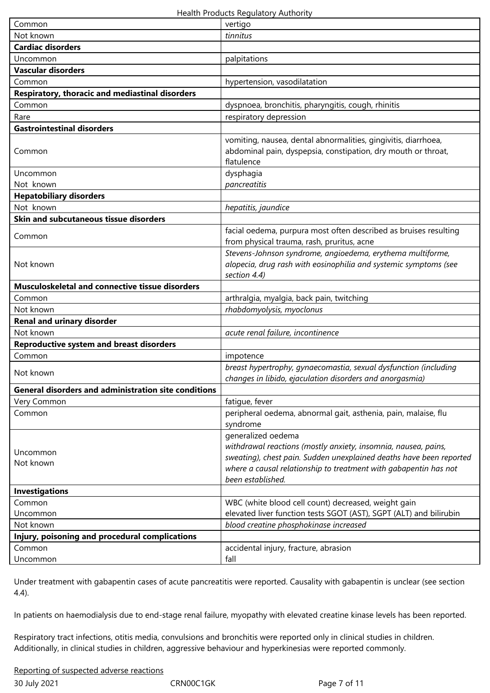| Common                                                      | vertigo                                                                                                                                                                                                                                              |
|-------------------------------------------------------------|------------------------------------------------------------------------------------------------------------------------------------------------------------------------------------------------------------------------------------------------------|
| Not known                                                   | tinnitus                                                                                                                                                                                                                                             |
| <b>Cardiac disorders</b>                                    |                                                                                                                                                                                                                                                      |
| Uncommon                                                    | palpitations                                                                                                                                                                                                                                         |
| <b>Vascular disorders</b>                                   |                                                                                                                                                                                                                                                      |
| Common                                                      | hypertension, vasodilatation                                                                                                                                                                                                                         |
| Respiratory, thoracic and mediastinal disorders             |                                                                                                                                                                                                                                                      |
| Common                                                      | dyspnoea, bronchitis, pharyngitis, cough, rhinitis                                                                                                                                                                                                   |
| Rare                                                        | respiratory depression                                                                                                                                                                                                                               |
| <b>Gastrointestinal disorders</b>                           |                                                                                                                                                                                                                                                      |
| Common                                                      | vomiting, nausea, dental abnormalities, gingivitis, diarrhoea,<br>abdominal pain, dyspepsia, constipation, dry mouth or throat,<br>flatulence                                                                                                        |
| Uncommon                                                    | dysphagia                                                                                                                                                                                                                                            |
| Not known                                                   | pancreatitis                                                                                                                                                                                                                                         |
| <b>Hepatobiliary disorders</b>                              |                                                                                                                                                                                                                                                      |
| Not known                                                   | hepatitis, jaundice                                                                                                                                                                                                                                  |
| Skin and subcutaneous tissue disorders                      |                                                                                                                                                                                                                                                      |
| Common                                                      | facial oedema, purpura most often described as bruises resulting<br>from physical trauma, rash, pruritus, acne                                                                                                                                       |
| Not known                                                   | Stevens-Johnson syndrome, angioedema, erythema multiforme,<br>alopecia, drug rash with eosinophilia and systemic symptoms (see<br>section 4.4)                                                                                                       |
| Musculoskeletal and connective tissue disorders             |                                                                                                                                                                                                                                                      |
| Common                                                      | arthralgia, myalgia, back pain, twitching                                                                                                                                                                                                            |
| Not known                                                   | rhabdomyolysis, myoclonus                                                                                                                                                                                                                            |
| <b>Renal and urinary disorder</b>                           |                                                                                                                                                                                                                                                      |
| Not known                                                   | acute renal failure, incontinence                                                                                                                                                                                                                    |
| <b>Reproductive system and breast disorders</b>             |                                                                                                                                                                                                                                                      |
| Common                                                      | impotence                                                                                                                                                                                                                                            |
| Not known                                                   | breast hypertrophy, gynaecomastia, sexual dysfunction (including<br>changes in libido, ejaculation disorders and anorgasmia)                                                                                                                         |
| <b>General disorders and administration site conditions</b> |                                                                                                                                                                                                                                                      |
| Very Common                                                 | fatigue, fever                                                                                                                                                                                                                                       |
| Common                                                      | peripheral oedema, abnormal gait, asthenia, pain, malaise, flu<br>syndrome                                                                                                                                                                           |
| Uncommon<br>Not known                                       | generalized oedema<br>withdrawal reactions (mostly anxiety, insomnia, nausea, pains,<br>sweating), chest pain. Sudden unexplained deaths have been reported<br>where a causal relationship to treatment with gabapentin has not<br>been established. |
| <b>Investigations</b>                                       |                                                                                                                                                                                                                                                      |
| Common                                                      | WBC (white blood cell count) decreased, weight gain                                                                                                                                                                                                  |
| Uncommon                                                    | elevated liver function tests SGOT (AST), SGPT (ALT) and bilirubin                                                                                                                                                                                   |
| Not known                                                   | blood creatine phosphokinase increased                                                                                                                                                                                                               |
| Injury, poisoning and procedural complications              |                                                                                                                                                                                                                                                      |
| Common                                                      | accidental injury, fracture, abrasion                                                                                                                                                                                                                |
| Uncommon                                                    | fall                                                                                                                                                                                                                                                 |

Under treatment with gabapentin cases of acute pancreatitis were reported. Causality with gabapentin is unclear (see section 4.4).

In patients on haemodialysis due to end-stage renal failure, myopathy with elevated creatine kinase levels has been reported.

Respiratory tract infections, otitis media, convulsions and bronchitis were reported only in clinical studies in children. Additionally, in clinical studies in children, aggressive behaviour and hyperkinesias were reported commonly.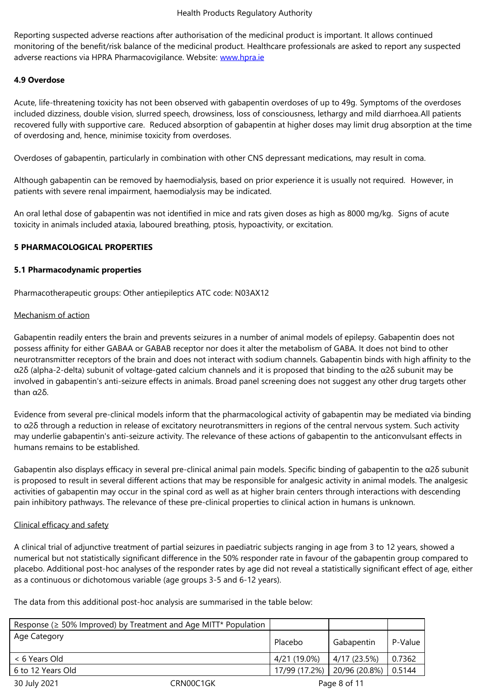monitoring of the benefit/risk balance of the medicinal product. Healthcare professionals are asked to report any suspected adverse reactions via HPRA Pharmacovigilance. Website: www.hpra.ie

# **4.9 Overdose**

Acute, life-threatening toxicity has not been observed wi[th gabapenti](http://www.hpra.ie/)n overdoses of up to 49g. Symptoms of the overdoses included dizziness, double vision, slurred speech, drowsiness, loss of consciousness, lethargy and mild diarrhoea.All patients recovered fully with supportive care. Reduced absorption of gabapentin at higher doses may limit drug absorption at the time of overdosing and, hence, minimise toxicity from overdoses.

Overdoses of gabapentin, particularly in combination with other CNS depressant medications, may result in coma.

Although gabapentin can be removed by haemodialysis, based on prior experience it is usually not required. However, in patients with severe renal impairment, haemodialysis may be indicated.

An oral lethal dose of gabapentin was not identified in mice and rats given doses as high as 8000 mg/kg. Signs of acute toxicity in animals included ataxia, laboured breathing, ptosis, hypoactivity, or excitation.

# **5 PHARMACOLOGICAL PROPERTIES**

#### **5.1 Pharmacodynamic properties**

Pharmacotherapeutic groups: Other antiepileptics ATC code: N03AX12

#### Mechanism of action

Gabapentin readily enters the brain and prevents seizures in a number of animal models of epilepsy. Gabapentin does not possess affinity for either GABAA or GABAB receptor nor does it alter the metabolism of GABA. It does not bind to other neurotransmitter receptors of the brain and does not interact with sodium channels. Gabapentin binds with high affinity to the α2δ (alpha-2-delta) subunit of voltage-gated calcium channels and it is proposed that binding to the α2δ subunit may be involved in gabapentin's anti-seizure effects in animals. Broad panel screening does not suggest any other drug targets other than α2δ.

Evidence from several pre-clinical models inform that the pharmacological activity of gabapentin may be mediated via binding to α2δ through a reduction in release of excitatory neurotransmitters in regions of the central nervous system. Such activity may underlie gabapentin's anti-seizure activity. The relevance of these actions of gabapentin to the anticonvulsant effects in humans remains to be established.

Gabapentin also displays efficacy in several pre-clinical animal pain models. Specific binding of gabapentin to the α2δ subunit is proposed to result in several different actions that may be responsible for analgesic activity in animal models. The analgesic activities of gabapentin may occur in the spinal cord as well as at higher brain centers through interactions with descending pain inhibitory pathways. The relevance of these pre-clinical properties to clinical action in humans is unknown.

#### Clinical efficacy and safety

A clinical trial of adjunctive treatment of partial seizures in paediatric subjects ranging in age from 3 to 12 years, showed a numerical but not statistically significant difference in the 50% responder rate in favour of the gabapentin group compared to placebo. Additional post-hoc analyses of the responder rates by age did not reveal a statistically significant effect of age, either as a continuous or dichotomous variable (age groups 3-5 and 6-12 years).

The data from this additional post-hoc analysis are summarised in the table below:

| Response ( $\geq$ 50% Improved) by Treatment and Age MITT* Population |           |               |               |         |  |
|-----------------------------------------------------------------------|-----------|---------------|---------------|---------|--|
| Age Category                                                          |           | Placebo       | Gabapentin    | P-Value |  |
| < 6 Years Old                                                         |           | 4/21 (19.0%)  | 4/17 (23.5%)  | 0.7362  |  |
| 6 to 12 Years Old                                                     |           | 17/99 (17.2%) | 20/96 (20.8%) | 0.5144  |  |
| 30 July 2021                                                          | CRN00C1GK | Page 8 of 11  |               |         |  |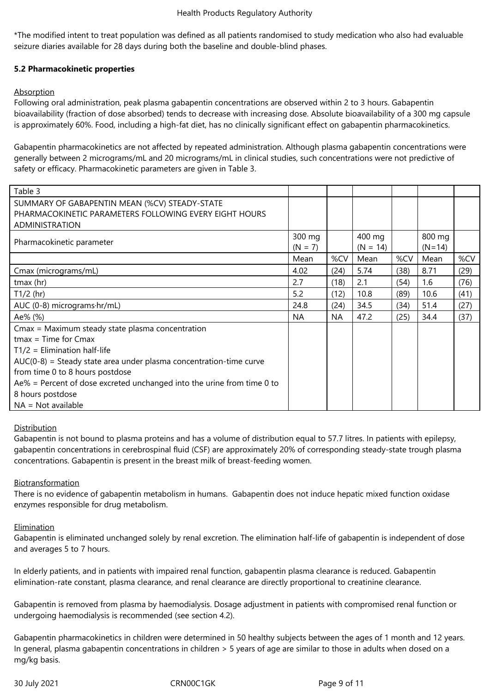\*The modified intent to treat population was defined as all patients randomised to study medication who also had evaluable seizure diaries available for 28 days during both the baseline and double-blind phases.

# **5.2 Pharmacokinetic properties**

# Absorption

Following oral administration, peak plasma gabapentin concentrations are observed within 2 to 3 hours. Gabapentin bioavailability (fraction of dose absorbed) tends to decrease with increasing dose. Absolute bioavailability of a 300 mg capsule is approximately 60%. Food, including a high-fat diet, has no clinically significant effect on gabapentin pharmacokinetics.

Gabapentin pharmacokinetics are not affected by repeated administration. Although plasma gabapentin concentrations were generally between 2 micrograms/mL and 20 micrograms/mL in clinical studies, such concentrations were not predictive of safety or efficacy. Pharmacokinetic parameters are given in Table 3.

| Table 3                                                                   |           |           |            |      |          |      |
|---------------------------------------------------------------------------|-----------|-----------|------------|------|----------|------|
| SUMMARY OF GABAPENTIN MEAN (%CV) STEADY-STATE                             |           |           |            |      |          |      |
| PHARMACOKINETIC PARAMETERS FOLLOWING EVERY EIGHT HOURS                    |           |           |            |      |          |      |
| <b>ADMINISTRATION</b>                                                     |           |           |            |      |          |      |
| Pharmacokinetic parameter                                                 |           |           | 400 mg     |      | 800 mg   |      |
|                                                                           |           |           | $(N = 14)$ |      | $(N=14)$ |      |
|                                                                           | Mean      | %CV       | Mean       | %CV  | Mean     | %CV  |
| Cmax (micrograms/mL)                                                      | 4.02      | (24)      | 5.74       | (38) | 8.71     | (29) |
| tmax (hr)                                                                 | 2.7       | (18)      | 2.1        | (54) | 1.6      | (76) |
| $T1/2$ (hr)                                                               | 5.2       | (12)      | 10.8       | (89) | 10.6     | (41) |
| AUC (0-8) micrograms·hr/mL)                                               | 24.8      | (24)      | 34.5       | (34) | 51.4     | (27) |
| Ae% (%)                                                                   | <b>NA</b> | <b>NA</b> | 47.2       | (25) | 34.4     | (37) |
| Cmax = Maximum steady state plasma concentration                          |           |           |            |      |          |      |
| $t$ max = Time for Cmax                                                   |           |           |            |      |          |      |
| $T1/2$ = Elimination half-life                                            |           |           |            |      |          |      |
| $AUC(0-8)$ = Steady state area under plasma concentration-time curve      |           |           |            |      |          |      |
| from time 0 to 8 hours postdose                                           |           |           |            |      |          |      |
| $Ae\%$ = Percent of dose excreted unchanged into the urine from time 0 to |           |           |            |      |          |      |
| 8 hours postdose                                                          |           |           |            |      |          |      |
| $NA = Not available$                                                      |           |           |            |      |          |      |

#### Distribution

Gabapentin is not bound to plasma proteins and has a volume of distribution equal to 57.7 litres. In patients with epilepsy, gabapentin concentrations in cerebrospinal fluid (CSF) are approximately 20% of corresponding steady-state trough plasma concentrations. Gabapentin is present in the breast milk of breast-feeding women.

#### Biotransformation

There is no evidence of gabapentin metabolism in humans. Gabapentin does not induce hepatic mixed function oxidase enzymes responsible for drug metabolism.

#### Elimination

Gabapentin is eliminated unchanged solely by renal excretion. The elimination half-life of gabapentin is independent of dose and averages 5 to 7 hours.

In elderly patients, and in patients with impaired renal function, gabapentin plasma clearance is reduced. Gabapentin elimination-rate constant, plasma clearance, and renal clearance are directly proportional to creatinine clearance.

Gabapentin is removed from plasma by haemodialysis. Dosage adjustment in patients with compromised renal function or undergoing haemodialysis is recommended (see section 4.2).

Gabapentin pharmacokinetics in children were determined in 50 healthy subjects between the ages of 1 month and 12 years. In general, plasma gabapentin concentrations in children > 5 years of age are similar to those in adults when dosed on a mg/kg basis.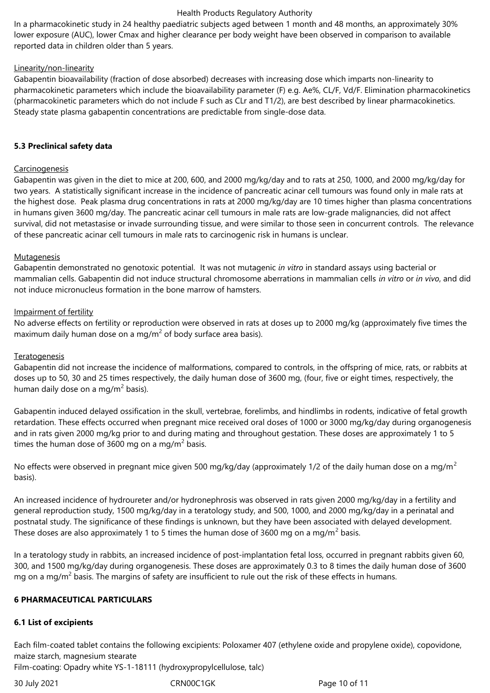In a pharmacokinetic study in 24 healthy paediatric subjects aged between 1 month and 48 months, an approximately 30% lower exposure (AUC), lower Cmax and higher clearance per body weight have been observed in comparison to available reported data in children older than 5 years.

# Linearity/non-linearity

Gabapentin bioavailability (fraction of dose absorbed) decreases with increasing dose which imparts non-linearity to pharmacokinetic parameters which include the bioavailability parameter (F) e.g. Ae%, CL/F, Vd/F. Elimination pharmacokinetics (pharmacokinetic parameters which do not include F such as CLr and T1/2), are best described by linear pharmacokinetics. Steady state plasma gabapentin concentrations are predictable from single-dose data.

# **5.3 Preclinical safety data**

# **Carcinogenesis**

Gabapentin was given in the diet to mice at 200, 600, and 2000 mg/kg/day and to rats at 250, 1000, and 2000 mg/kg/day for two years. A statistically significant increase in the incidence of pancreatic acinar cell tumours was found only in male rats at the highest dose. Peak plasma drug concentrations in rats at 2000 mg/kg/day are 10 times higher than plasma concentrations in humans given 3600 mg/day. The pancreatic acinar cell tumours in male rats are low-grade malignancies, did not affect survival, did not metastasise or invade surrounding tissue, and were similar to those seen in concurrent controls. The relevance of these pancreatic acinar cell tumours in male rats to carcinogenic risk in humans is unclear.

#### Mutagenesis

Gabapentin demonstrated no genotoxic potential. It was not mutagenic *in vitro* in standard assays using bacterial or mammalian cells. Gabapentin did not induce structural chromosome aberrations in mammalian cells *in vitro* or *in vivo*, and did not induce micronucleus formation in the bone marrow of hamsters.

# Impairment of fertility

No adverse effects on fertility or reproduction were observed in rats at doses up to 2000 mg/kg (approximately five times the maximum daily human dose on a mg/m<sup>2</sup> of body surface area basis).

#### Teratogenesis

Gabapentin did not increase the incidence of malformations, compared to controls, in the offspring of mice, rats, or rabbits at doses up to 50, 30 and 25 times respectively, the daily human dose of 3600 mg, (four, five or eight times, respectively, the human daily dose on a mg/m $^2$  basis).

Gabapentin induced delayed ossification in the skull, vertebrae, forelimbs, and hindlimbs in rodents, indicative of fetal growth retardation. These effects occurred when pregnant mice received oral doses of 1000 or 3000 mg/kg/day during organogenesis and in rats given 2000 mg/kg prior to and during mating and throughout gestation. These doses are approximately 1 to 5 times the human dose of 3600 mg on a mg/m<sup>2</sup> basis.

No effects were observed in pregnant mice given 500 mg/kg/day (approximately 1/2 of the daily human dose on a mg/m<sup>2</sup> basis).

An increased incidence of hydroureter and/or hydronephrosis was observed in rats given 2000 mg/kg/day in a fertility and general reproduction study, 1500 mg/kg/day in a teratology study, and 500, 1000, and 2000 mg/kg/day in a perinatal and postnatal study. The significance of these findings is unknown, but they have been associated with delayed development. These doses are also approximately 1 to 5 times the human dose of 3600 mg on a mg/m<sup>2</sup> basis.

In a teratology study in rabbits, an increased incidence of post-implantation fetal loss, occurred in pregnant rabbits given 60, 300, and 1500 mg/kg/day during organogenesis. These doses are approximately 0.3 to 8 times the daily human dose of 3600 mg on a mg/m<sup>2</sup> basis. The margins of safety are insufficient to rule out the risk of these effects in humans.

# **6 PHARMACEUTICAL PARTICULARS**

# **6.1 List of excipients**

Each film-coated tablet contains the following excipients: Poloxamer 407 (ethylene oxide and propylene oxide), copovidone, maize starch, magnesium stearate

Film-coating: Opadry white YS-1-18111 (hydroxypropylcellulose, talc)

30 July 2021 CRN00C1GK Page 10 of 11